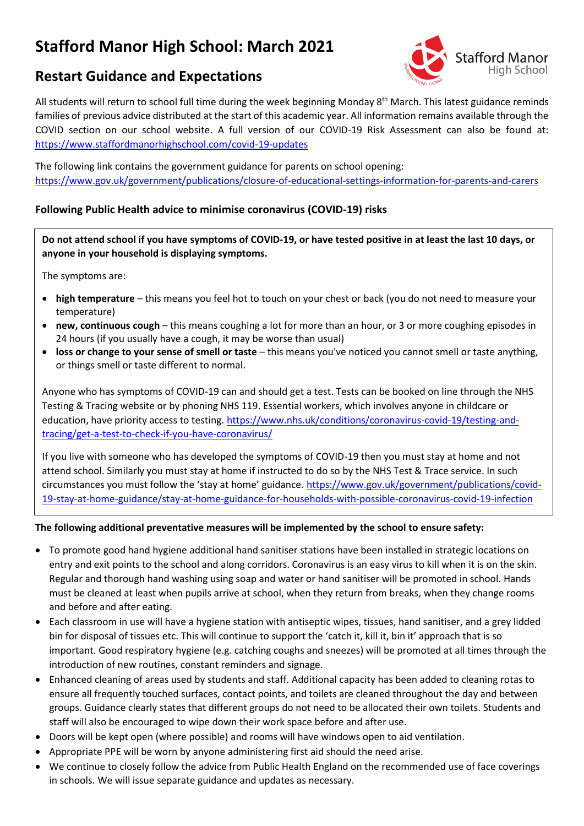# **Stafford Manor High School: March 2021**

## **Restart Guidance and Expectations**



All students will return to school full time during the week beginning Monday 8<sup>th</sup> March. This latest guidance reminds families of previous advice distributed at the start of this academic year. All information remains available through the COVID section on our school website. A full version of our COVID-19 Risk Assessment can also be found at: <https://www.staffordmanorhighschool.com/covid-19-updates>

The following link contains the government guidance for parents on school opening: <https://www.gov.uk/government/publications/closure-of-educational-settings-information-for-parents-and-carers>

#### **Following Public Health advice to minimise coronavirus (COVID-19) risks**

**Do not attend school if you have symptoms of COVID-19, or have tested positive in at least the last 10 days, or anyone in your household is displaying symptoms.**

The symptoms are:

- **high temperature** this means you feel hot to touch on your chest or back (you do not need to measure your temperature)
- **new, continuous cough** this means coughing a lot for more than an hour, or 3 or more coughing episodes in 24 hours (if you usually have a cough, it may be worse than usual)
- **loss or change to your sense of smell or taste** this means you've noticed you cannot smell or taste anything, or things smell or taste different to normal.

Anyone who has symptoms of COVID-19 can and should get a test. Tests can be booked on line through the NHS Testing & Tracing website or by phoning NHS 119. Essential workers, which involves anyone in childcare or education, have priority access to testing. [https://www.nhs.uk/conditions/coronavirus-covid-19/testing-and](https://www.nhs.uk/conditions/coronavirus-covid-19/testing-and-tracing/get-a-test-to-check-if-you-have-coronavirus/)[tracing/get-a-test-to-check-if-you-have-coronavirus/](https://www.nhs.uk/conditions/coronavirus-covid-19/testing-and-tracing/get-a-test-to-check-if-you-have-coronavirus/)

If you live with someone who has developed the symptoms of COVID-19 then you must stay at home and not attend school. Similarly you must stay at home if instructed to do so by the NHS Test & Trace service. In such circumstances you must follow the 'stay at home' guidance. [https://www.gov.uk/government/publications/covid-](https://www.gov.uk/government/publications/covid-19-stay-at-home-guidance/stay-at-home-guidance-for-households-with-possible-coronavirus-covid-19-infection)[19-stay-at-home-guidance/stay-at-home-guidance-for-households-with-possible-coronavirus-covid-19-infection](https://www.gov.uk/government/publications/covid-19-stay-at-home-guidance/stay-at-home-guidance-for-households-with-possible-coronavirus-covid-19-infection)

#### **The following additional preventative measures will be implemented by the school to ensure safety:**

- To promote good hand hygiene additional hand sanitiser stations have been installed in strategic locations on entry and exit points to the school and along corridors. Coronavirus is an easy virus to kill when it is on the skin. Regular and thorough hand washing using soap and water or hand sanitiser will be promoted in school. Hands must be cleaned at least when pupils arrive at school, when they return from breaks, when they change rooms and before and after eating.
- Each classroom in use will have a hygiene station with antiseptic wipes, tissues, hand sanitiser, and a grey lidded bin for disposal of tissues etc. This will continue to support the 'catch it, kill it, bin it' approach that is so important. Good respiratory hygiene (e.g. catching coughs and sneezes) will be promoted at all times through the introduction of new routines, constant reminders and signage.
- Enhanced cleaning of areas used by students and staff. Additional capacity has been added to cleaning rotas to ensure all frequently touched surfaces, contact points, and toilets are cleaned throughout the day and between groups. Guidance clearly states that different groups do not need to be allocated their own toilets. Students and staff will also be encouraged to wipe down their work space before and after use.
- Doors will be kept open (where possible) and rooms will have windows open to aid ventilation.
- Appropriate PPE will be worn by anyone administering first aid should the need arise.
- We continue to closely follow the advice from Public Health England on the recommended use of face coverings in schools. We will issue separate guidance and updates as necessary.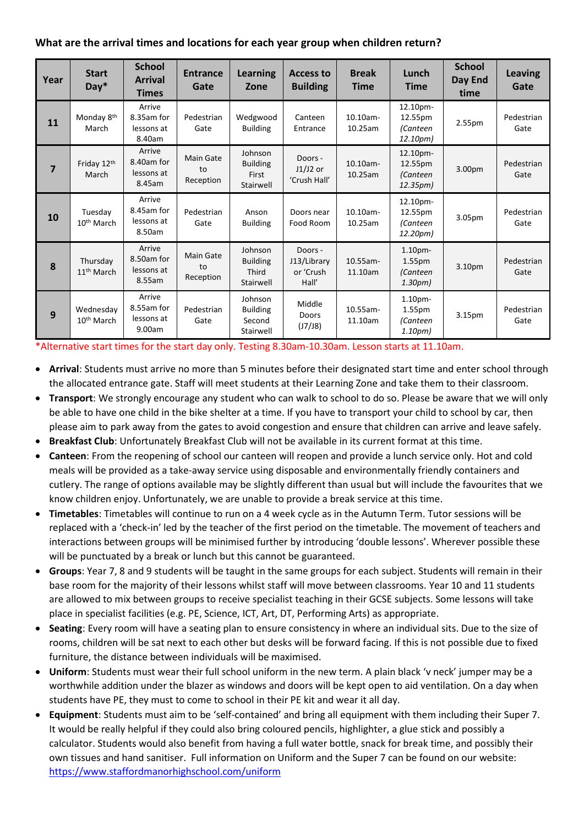#### **What are the arrival times and locations for each year group when children return?**

| Year                    | <b>Start</b><br>$Day*$              | <b>School</b><br><b>Arrival</b><br><b>Times</b> | <b>Entrance</b><br>Gate      | <b>Learning</b><br>Zone                           | <b>Access to</b><br><b>Building</b>          | <b>Break</b><br><b>Time</b> | Lunch<br><b>Time</b>                                            | <b>School</b><br>Day End<br>time | <b>Leaving</b><br>Gate |
|-------------------------|-------------------------------------|-------------------------------------------------|------------------------------|---------------------------------------------------|----------------------------------------------|-----------------------------|-----------------------------------------------------------------|----------------------------------|------------------------|
| 11                      | Monday 8 <sup>th</sup><br>March     | Arrive<br>8.35am for<br>lessons at<br>8.40am    | Pedestrian<br>Gate           | Wedgwood<br><b>Building</b>                       | Canteen<br>Entrance                          | 10.10am-<br>10.25am         | 12.10pm-<br>12.55pm<br>(Canteen<br>12.10pm)                     | 2.55pm                           | Pedestrian<br>Gate     |
| $\overline{\mathbf{z}}$ | Friday 12th<br>March                | Arrive<br>8.40am for<br>lessons at<br>8.45am    | Main Gate<br>to<br>Reception | Johnson<br><b>Building</b><br>First<br>Stairwell  | Doors -<br>$J1/J2$ or<br>'Crush Hall'        | 10.10am-<br>10.25am         | 12.10pm-<br>12.55pm<br>(Canteen<br>12.35 <sub>pm</sub>          | 3.00pm                           | Pedestrian<br>Gate     |
| 10                      | Tuesday<br>10 <sup>th</sup> March   | Arrive<br>8.45am for<br>lessons at<br>8.50am    | Pedestrian<br>Gate           | Anson<br><b>Building</b>                          | Doors near<br>Food Room                      | $10.10$ am-<br>10.25am      | 12.10pm-<br>12.55pm<br>(Canteen<br>12.20pm)                     | 3.05 <sub>pm</sub>               | Pedestrian<br>Gate     |
| 8                       | Thursday<br>11 <sup>th</sup> March  | Arrive<br>8.50am for<br>lessons at<br>8.55am    | Main Gate<br>to<br>Reception | Johnson<br><b>Building</b><br>Third<br>Stairwell  | Doors -<br>J13/Library<br>or 'Crush<br>Hall' | 10.55am-<br>11.10am         | 1.10 <sub>pm</sub><br>1.55pm<br>(Canteen<br>1.30 <sub>pm</sub>  | 3.10 <sub>pm</sub>               | Pedestrian<br>Gate     |
| 9                       | Wednesday<br>10 <sup>th</sup> March | Arrive<br>8.55am for<br>lessons at<br>9.00am    | Pedestrian<br>Gate           | Johnson<br><b>Building</b><br>Second<br>Stairwell | Middle<br>Doors<br>(J7/J8)                   | 10.55am-<br>11.10am         | 1.10 <sub>pm</sub><br>1.55 <sub>pm</sub><br>(Canteen<br>1.10pm) | 3.15 <sub>pm</sub>               | Pedestrian<br>Gate     |

\*Alternative start times for the start day only. Testing 8.30am-10.30am. Lesson starts at 11.10am.

- **Arrival**: Students must arrive no more than 5 minutes before their designated start time and enter school through the allocated entrance gate. Staff will meet students at their Learning Zone and take them to their classroom.
- **Transport**: We strongly encourage any student who can walk to school to do so. Please be aware that we will only be able to have one child in the bike shelter at a time. If you have to transport your child to school by car, then please aim to park away from the gates to avoid congestion and ensure that children can arrive and leave safely.
- **Breakfast Club**: Unfortunately Breakfast Club will not be available in its current format at this time.
- **Canteen**: From the reopening of school our canteen will reopen and provide a lunch service only. Hot and cold meals will be provided as a take-away service using disposable and environmentally friendly containers and cutlery. The range of options available may be slightly different than usual but will include the favourites that we know children enjoy. Unfortunately, we are unable to provide a break service at this time.
- **Timetables**: Timetables will continue to run on a 4 week cycle as in the Autumn Term. Tutor sessions will be replaced with a 'check-in' led by the teacher of the first period on the timetable. The movement of teachers and interactions between groups will be minimised further by introducing 'double lessons'. Wherever possible these will be punctuated by a break or lunch but this cannot be guaranteed.
- **Groups**: Year 7, 8 and 9 students will be taught in the same groups for each subject. Students will remain in their base room for the majority of their lessons whilst staff will move between classrooms. Year 10 and 11 students are allowed to mix between groups to receive specialist teaching in their GCSE subjects. Some lessons will take place in specialist facilities (e.g. PE, Science, ICT, Art, DT, Performing Arts) as appropriate.
- **Seating**: Every room will have a seating plan to ensure consistency in where an individual sits. Due to the size of rooms, children will be sat next to each other but desks will be forward facing. If this is not possible due to fixed furniture, the distance between individuals will be maximised.
- **Uniform**: Students must wear their full school uniform in the new term. A plain black 'v neck' jumper may be a worthwhile addition under the blazer as windows and doors will be kept open to aid ventilation. On a day when students have PE, they must to come to school in their PE kit and wear it all day.
- **Equipment**: Students must aim to be 'self-contained' and bring all equipment with them including their Super 7. It would be really helpful if they could also bring coloured pencils, highlighter, a glue stick and possibly a calculator. Students would also benefit from having a full water bottle, snack for break time, and possibly their own tissues and hand sanitiser. Full information on Uniform and the Super 7 can be found on our website: <https://www.staffordmanorhighschool.com/uniform>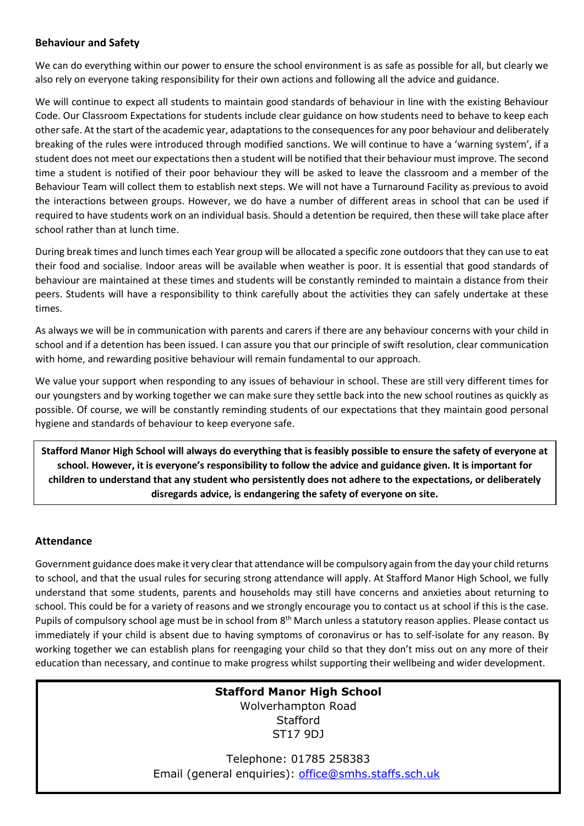#### **Behaviour and Safety**

We can do everything within our power to ensure the school environment is as safe as possible for all, but clearly we also rely on everyone taking responsibility for their own actions and following all the advice and guidance.

We will continue to expect all students to maintain good standards of behaviour in line with the existing Behaviour Code. Our Classroom Expectations for students include clear guidance on how students need to behave to keep each other safe. At the start of the academic year, adaptations to the consequences for any poor behaviour and deliberately breaking of the rules were introduced through modified sanctions. We will continue to have a 'warning system', if a student does not meet our expectations then a student will be notified that their behaviour must improve. The second time a student is notified of their poor behaviour they will be asked to leave the classroom and a member of the Behaviour Team will collect them to establish next steps. We will not have a Turnaround Facility as previous to avoid the interactions between groups. However, we do have a number of different areas in school that can be used if required to have students work on an individual basis. Should a detention be required, then these will take place after school rather than at lunch time.

During break times and lunch times each Year group will be allocated a specific zone outdoors that they can use to eat their food and socialise. Indoor areas will be available when weather is poor. It is essential that good standards of behaviour are maintained at these times and students will be constantly reminded to maintain a distance from their peers. Students will have a responsibility to think carefully about the activities they can safely undertake at these times.

As always we will be in communication with parents and carers if there are any behaviour concerns with your child in school and if a detention has been issued. I can assure you that our principle of swift resolution, clear communication with home, and rewarding positive behaviour will remain fundamental to our approach.

We value your support when responding to any issues of behaviour in school. These are still very different times for our youngsters and by working together we can make sure they settle back into the new school routines as quickly as possible. Of course, we will be constantly reminding students of our expectations that they maintain good personal hygiene and standards of behaviour to keep everyone safe.

**Stafford Manor High School will always do everything that is feasibly possible to ensure the safety of everyone at school. However, it is everyone's responsibility to follow the advice and guidance given. It is important for children to understand that any student who persistently does not adhere to the expectations, or deliberately disregards advice, is endangering the safety of everyone on site.**

#### **Attendance**

1

Government guidance does make it very clear that attendance will be compulsory again from the day your child returns to school, and that the usual rules for securing strong attendance will apply. At Stafford Manor High School, we fully understand that some students, parents and households may still have concerns and anxieties about returning to school. This could be for a variety of reasons and we strongly encourage you to contact us at school if this is the case. Pupils of compulsory school age must be in school from 8<sup>th</sup> March unless a statutory reason applies. Please contact us immediately if your child is absent due to having symptoms of coronavirus or has to self-isolate for any reason. By working together we can establish plans for reengaging your child so that they don't miss out on any more of their education than necessary, and continue to make progress whilst supporting their wellbeing and wider development.

### **Stafford Manor High School** Wolverhampton Road **Stafford** ST17 9DJ

Telephone: 01785 258383 Email (general enquiries): [office@smhs.staffs.sch.uk](mailto:office@smhs.staffs.sch.uk)